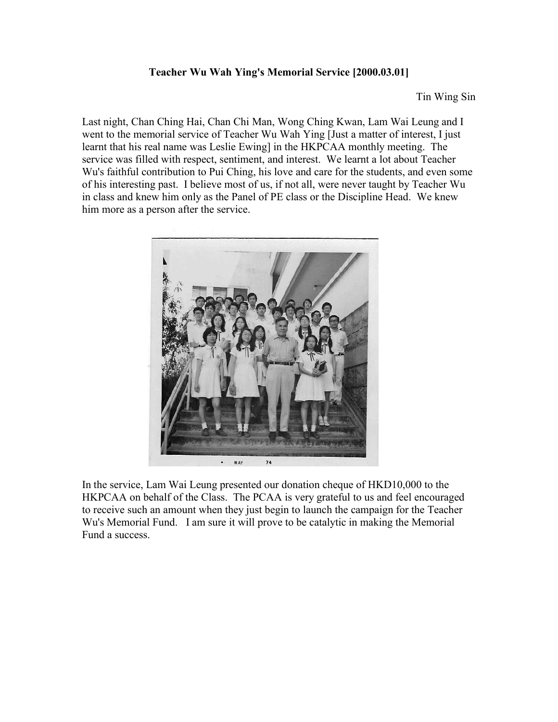## **Teacher Wu Wah Ying's Memorial Service [2000.03.01]**

Tin Wing Sin

Last night, Chan Ching Hai, Chan Chi Man, Wong Ching Kwan, Lam Wai Leung and I went to the memorial service of Teacher Wu Wah Ying [Just a matter of interest, I just learnt that his real name was Leslie Ewing] in the HKPCAA monthly meeting. The service was filled with respect, sentiment, and interest. We learnt a lot about Teacher Wu's faithful contribution to Pui Ching, his love and care for the students, and even some of his interesting past. I believe most of us, if not all, were never taught by Teacher Wu in class and knew him only as the Panel of PE class or the Discipline Head. We knew him more as a person after the service.



In the service, Lam Wai Leung presented our donation cheque of HKD10,000 to the HKPCAA on behalf of the Class. The PCAA is very grateful to us and feel encouraged to receive such an amount when they just begin to launch the campaign for the Teacher Wu's Memorial Fund. I am sure it will prove to be catalytic in making the Memorial Fund a success.